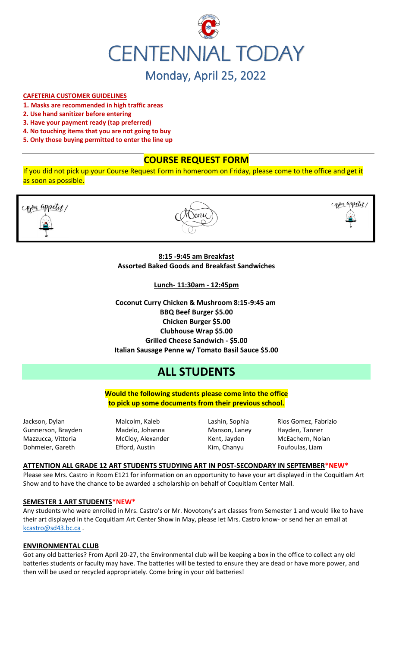

## **CAFETERIA CUSTOMER GUIDELINES**

- **1. Masks are recommended in high traffic areas**
- **2. Use hand sanitizer before entering**
- **3. Have your payment ready (tap preferred)**
- **4. No touching items that you are not going to buy**
- **5. Only those buying permitted to enter the line up**

# **COURSE REQUEST FORM**

If you did not pick up your Course Request Form in homeroom on Friday, please come to the office and get it as soon as possible.





copen appetit,

# **8:15 -9:45 am Breakfast Assorted Baked Goods and Breakfast Sandwiches**

**Lunch- 11:30am - 12:45pm**

**Coconut Curry Chicken & Mushroom 8:15-9:45 am BBQ Beef Burger \$5.00 Chicken Burger \$5.00 Clubhouse Wrap \$5.00 Grilled Cheese Sandwich - \$5.00 Italian Sausage Penne w/ Tomato Basil Sauce \$5.00**

# **ALL STUDENTS**

**Would the following students please come into the office to pick up some documents from their previous school.**

Jackson, Dylan Malcolm, Kaleb Lashin, Sophia Rios Gomez, Fabrizio Gunnerson, Brayden Madelo, Johanna Manson, Laney Hayden, Tanner Mazzucca, Vittoria **McCloy, Alexander** Kent, Jayden McEachern, Nolan

Dohmeier, Gareth **Efford, Austin** Kim, Chanyu Foufoulas, Liam

## **ATTENTION ALL GRADE 12 ART STUDENTS STUDYING ART IN POST-SECONDARY IN SEPTEMBER\*NEW\***

Please see Mrs. Castro in Room E121 for information on an opportunity to have your art displayed in the Coquitlam Art Show and to have the chance to be awarded a scholarship on behalf of Coquitlam Center Mall.

#### **SEMESTER 1 ART STUDENTS\*NEW\***

Any students who were enrolled in Mrs. Castro's or Mr. Novotony's art classes from Semester 1 and would like to have their art displayed in the Coquitlam Art Center Show in May, please let Mrs. Castro know- or send her an email at [kcastro@sd43.bc.ca](mailto:kcastro@sd43.bc.ca) .

### **ENVIRONMENTAL CLUB**

Got any old batteries? From April 20-27, the Environmental club will be keeping a box in the office to collect any old batteries students or faculty may have. The batteries will be tested to ensure they are dead or have more power, and then will be used or recycled appropriately. Come bring in your old batteries!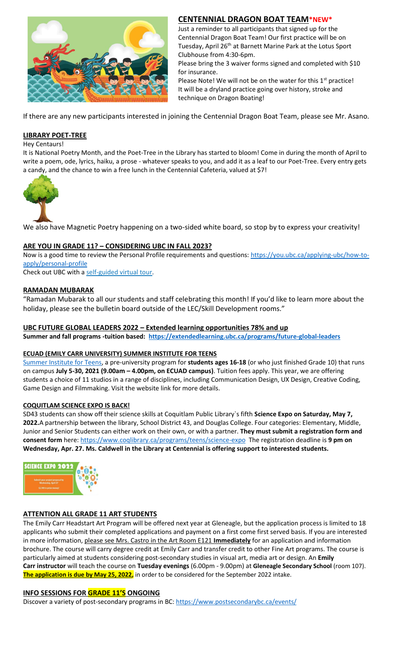

# **CENTENNIAL DRAGON BOAT TEAM\*NEW\***

Just a reminder to all participants that signed up for the Centennial Dragon Boat Team! Our first practice will be on Tuesday, April 26<sup>th</sup> at Barnett Marine Park at the Lotus Sport Clubhouse from 4:30-6pm.

Please bring the 3 waiver forms signed and completed with \$10 for insurance.

Please Note! We will not be on the water for this  $1<sup>st</sup>$  practice! It will be a dryland practice going over history, stroke and technique on Dragon Boating!

If there are any new participants interested in joining the Centennial Dragon Boat Team, please see Mr. Asano.

## **LIBRARY POET-TREE**

Hey Centaurs!

It is National Poetry Month, and the Poet-Tree in the Library has started to bloom! Come in during the month of April to write a poem, ode, lyrics, haiku, a prose - whatever speaks to you, and add it as a leaf to our Poet-Tree. Every entry gets a candy, and the chance to win a free lunch in the Centennial Cafeteria, valued at \$7!



We also have Magnetic Poetry happening on a two-sided white board, so stop by to express your creativity!

# **ARE YOU IN GRADE 11? – CONSIDERING UBC IN FALL 2023?**

Now is a good time to review the Personal Profile requirements and questions: [https://you.ubc.ca/applying-ubc/how-to](https://you.ubc.ca/applying-ubc/how-to-apply/personal-profile)[apply/personal-profile](https://you.ubc.ca/applying-ubc/how-to-apply/personal-profile)

Check out UBC with a self-guided [virtual tour.](https://you.ubc.ca/tours-info-sessions/virtual-tour/)

## **RAMADAN MUBARAK**

"Ramadan Mubarak to all our students and staff celebrating this month! If you'd like to learn more about the holiday, please see the bulletin board outside of the LEC/Skill Development rooms."

## **UBC FUTURE GLOBAL LEADERS 2022 – Extended learning opportunities 78% and up**

**Summer and fall programs -tuition based: <https://extendedlearning.ubc.ca/programs/future-global-leaders>**

### **ECUAD (EMILY CARR UNIVERSITY) SUMMER INSTITUTE FOR TEENS**

[Summer Institute for Teens,](https://www.ecuad.ca/academics/teen-programs/summer-institute-for-teens) a pre-university program for **students ages 16-18** (or who just finished Grade 10) that runs on campus **July 5-30, 2021 (9.00am – 4.00pm, on ECUAD campus)**. Tuition fees apply. This year, we are offering students a choice of 11 studios in a range of disciplines, including Communication Design, UX Design, Creative Coding, Game Design and Filmmaking. Visit the website link for more details.

### **COQUITLAM SCIENCE EXPO IS BACK!**

SD43 students can show off their science skills at Coquitlam Public Library`s fifth **Science Expo on Saturday, May 7, 2022.**A partnership between the library, School District 43, and Douglas College. Four categories: Elementary, Middle, Junior and Senior Students can either work on their own, or with a partner. **They must submit a registration form and consent form** here:<https://www.coqlibrary.ca/programs/teens/science-expo> The registration deadline is **9 pm on Wednesday, Apr. 27. Ms. Caldwell in the Library at Centennial is offering support to interested students.**



# **ATTENTION ALL GRADE 11 ART STUDENTS**

The Emily Carr Headstart Art Program will be offered next year at Gleneagle, but the application process is limited to 18 applicants who submit their completed applications and payment on a first come first served basis. If you are interested in more information, please see Mrs. Castro in the Art Room E121 **Immediately** for an application and information brochure. The course will carry degree credit at Emily Carr and transfer credit to other Fine Art programs. The course is particularly aimed at students considering post-secondary studies in visual art, media art or design. An **Emily Carr instructor** will teach the course on **Tuesday evenings** (6.00pm - 9.00pm) at **Gleneagle Secondary School** (room 107). **The application is due by May 25, 2022,** in order to be considered for the September 2022 intake.

# **INFO SESSIONS FOR GRADE 11'S ONGOING**

Discover a variety of post-secondary programs in BC:<https://www.postsecondarybc.ca/events/>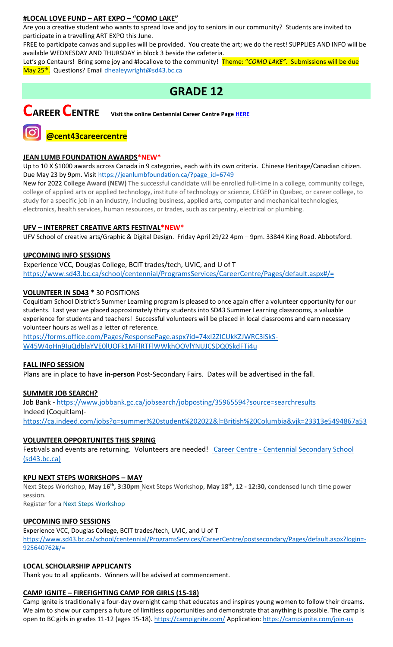# **#LOCAL LOVE FUND – ART EXPO – "COMO LAKE"**

Are you a creative student who wants to spread love and joy to seniors in our community? Students are invited to participate in a travelling ART EXPO this June.

FREE to participate canvas and supplies will be provided. You create the art; we do the rest! SUPPLIES AND INFO will be available WEDNESDAY AND THURSDAY in block 3 beside the cafeteria.

Let's go Centaurs! Bring some joy and #locallove to the community! Theme: "*COMO LAKE"*. Submissions will be due May 25<sup>th</sup>. Questions? Email <u>dhealeywright@sd43.bc.ca</u>

# **GRADE 12**



**CAREER CENTRE Visit the online Centennial Career Centre Page [HERE](https://www.sd43.bc.ca/school/centennial/ProgramsServices/CareerCentre/experiences/Pages/default.aspx#/=)**

# **JEAN LUMB FOUNDATION AWARDS\*NEW\***

**@cent43careercentre** 

Up to 10 X \$1000 awards across Canada in 9 categories, each with its own criteria. Chinese Heritage/Canadian citizen. Due May 23 by 9pm. Visi[t https://jeanlumbfoundation.ca/?page\\_id=6749](https://jeanlumbfoundation.ca/?page_id=6749)

New for 2022 **College Award (NEW)** The successful candidate will be enrolled full-time in a college, community college, college of applied arts or applied technology, institute of technology or science, CEGEP in Quebec, or career college, to study for a specific job in an industry, including business, applied arts, computer and mechanical technologies, electronics, health services, human resources, or trades, such as carpentry, electrical or plumbing.

# **UFV – INTERPRET CREATIVE ARTS FESTIVAL\*NEW\***

UFV School of creative arts/Graphic & Digital Design. Friday April 29/22 4pm – 9pm. 33844 King Road. Abbotsford.

# **UPCOMING INFO SESSIONS**

Experience VCC, Douglas College, BCIT trades/tech, UVIC, and U of T <https://www.sd43.bc.ca/school/centennial/ProgramsServices/CareerCentre/Pages/default.aspx#/=>

# **VOLUNTEER IN SD43** \* 30 POSITIONS

Coquitlam School District's Summer Learning program is pleased to once again offer a volunteer opportunity for our students. Last year we placed approximately thirty students into SD43 Summer Learning classrooms, a valuable experience for students and teachers! Successful volunteers will be placed in local classrooms and earn necessary volunteer hours as well as a letter of reference.

[https://forms.office.com/Pages/ResponsePage.aspx?id=74xl2ZICUkKZJWRC3iSkS-](https://forms.office.com/Pages/ResponsePage.aspx?id=74xl2ZICUkKZJWRC3iSkS-W45W4oHn9IuQdblaYVE0lUOFk1MFlRTFlWWkhOOVlYNUJCSDQ0SkdFTi4u)[W45W4oHn9IuQdblaYVE0lUOFk1MFlRTFlWWkhOOVlYNUJCSDQ0SkdFTi4u](https://forms.office.com/Pages/ResponsePage.aspx?id=74xl2ZICUkKZJWRC3iSkS-W45W4oHn9IuQdblaYVE0lUOFk1MFlRTFlWWkhOOVlYNUJCSDQ0SkdFTi4u)

# **FALL INFO SESSION**

Plans are in place to have **in-person** Post-Secondary Fairs. Dates will be advertised in the fall.

# **SUMMER JOB SEARCH?**

Job Bank - <https://www.jobbank.gc.ca/jobsearch/jobposting/35965594?source=searchresults> Indeed (Coquitlam) <https://ca.indeed.com/jobs?q=summer%20student%202022&l=British%20Columbia&vjk=23313e5494867a53>

# **VOLUNTEER OPPORTUNITES THIS SPRING**

Festivals and events are returning. Volunteers are needed! Career Centre - [Centennial Secondary School](https://www.sd43.bc.ca/school/centennial/ProgramsServices/CareerCentre/experiences/Pages/default.aspx#/=)  [\(sd43.bc.ca\)](https://www.sd43.bc.ca/school/centennial/ProgramsServices/CareerCentre/experiences/Pages/default.aspx#/=)

# **KPU NEXT STEPS WORKSHOPS – MAY**

Next Steps Workshop, **May 16th, 3:30pm** Next Steps Workshop, **May 18th, 12 - 12:30,** condensed lunch time power session.

Register for a [Next Steps Workshop](http://crm-link.kpu.ca/c/7/eyJhaSI6MTY0ODQwMjEsImUiOiJkaGVhbGV5d3JpZ2h0QHNkNDMuYmMuY2EiLCJyaSI6ImNvbnRhY3QtNGZkMzgzYmJkZmY3ZWExMWE4MTUwMDBkM2EwYzhjNmQtZDI5MWU3MGZkMWYyNDJlYjk5OGU2OTFmYjc2ZGZmMjMiLCJycSI6IjAyLWIyMjEwMy0zOTg5OTViYTI1NGQ0NDE2YjBlMDQyODJkZjY3MTlhNiIsInBoIjpudWxsLCJtIjpmYWxzZSwidWkiOiIyIiwidW4iOiIiLCJ1IjoiaHR0cHM6Ly93d3cua3B1LmNhL2luZm8tc2Vzc2lvbnMvZnV0dXJlLXN0dWRlbnRzL25leHQtc3RlcHMvbWF5LTIwMjI_X2NsZGVlPVpNTFlTR1BPYXdvdUI0T0xzQnBsUHZFU0g1eUhvbnhCQlpuNFlnYzRINkV6V0ZWOVpLUWpKTmxic0hFM3RVQmImcmVjaXBpZW50aWQ9Y29udGFjdC00ZmQzODNiYmRmZjdlYTExYTgxNTAwMGQzYTBjOGM2ZC1kMjkxZTcwZmQxZjI0MmViOTk4ZTY5MWZiNzZkZmYyMyZlc2lkPTFkZmIzOThiLTRiYmItZWMxMS05ODNmLTAwMjI0ODNjYzE1YSJ9/SBu6RJHIXI6GRb2GoyGQMA)

# **UPCOMING INFO SESSIONS**

Experience VCC, Douglas College, BCIT trades/tech, UVIC, and U of T [https://www.sd43.bc.ca/school/centennial/ProgramsServices/CareerCentre/postsecondary/Pages/default.aspx?login=-](https://www.sd43.bc.ca/school/centennial/ProgramsServices/CareerCentre/postsecondary/Pages/default.aspx?login=-925640762#/=) [925640762#/=](https://www.sd43.bc.ca/school/centennial/ProgramsServices/CareerCentre/postsecondary/Pages/default.aspx?login=-925640762#/=)

# **LOCAL SCHOLARSHIP APPLICANTS**

Thank you to all applicants. Winners will be advised at commencement.

# **CAMP IGNITE – FIREFIGHTING CAMP FOR GIRLS (15-18)**

Camp Ignite is traditionally a four-day overnight camp that educates and inspires young women to follow their dreams. We aim to show our campers a future of limitless opportunities and demonstrate that anything is possible. The camp is open to BC girls in grades 11-12 (ages 15-18).<https://campignite.com/> Application:<https://campignite.com/join-us>